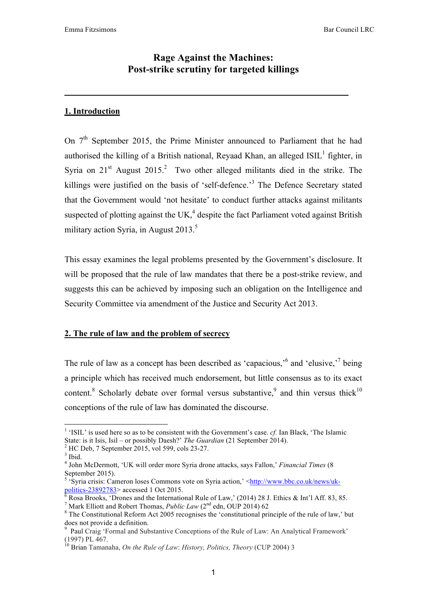# **Rage Against the Machines: Post-strike scrutiny for targeted killings**

# **1. Introduction**

On  $7<sup>th</sup>$  September 2015, the Prime Minister announced to Parliament that he had authorised the killing of a British national, Reyaad Khan, an alleged  $ISIL<sup>1</sup>$  fighter, in Syria on  $21<sup>st</sup>$  August  $2015<sup>2</sup>$  Two other alleged militants died in the strike. The killings were justified on the basis of 'self-defence.<sup>3</sup> The Defence Secretary stated that the Government would 'not hesitate' to conduct further attacks against militants suspected of plotting against the UK, $<sup>4</sup>$  despite the fact Parliament voted against British</sup> military action Syria, in August  $2013$ <sup>5</sup>

This essay examines the legal problems presented by the Government's disclosure. It will be proposed that the rule of law mandates that there be a post-strike review, and suggests this can be achieved by imposing such an obligation on the Intelligence and Security Committee via amendment of the Justice and Security Act 2013.

## **2. The rule of law and the problem of secrecy**

The rule of law as a concept has been described as 'capacious,'<sup>6</sup> and 'elusive,'<sup>7</sup> being a principle which has received much endorsement, but little consensus as to its exact content.<sup>8</sup> Scholarly debate over formal versus substantive,  $9^{\circ}$  and thin versus thick<sup>10</sup> conceptions of the rule of law has dominated the discourse.

 <sup>1</sup> 'ISIL' is used here so as to be consistent with the Government's case. *cf.* Ian Black, 'The Islamic State: is it Isis, Isil – or possibly Daesh?' *The Guardian* (21 September 2014).

 $^{2}$  HC Deb, 7 September 2015, vol 599, cols 23-27.

 $3$  Ibid.

<sup>4</sup> John McDermott, 'UK will order more Syria drone attacks, says Fallon,' *Financial Times* (8 September 2015).

<sup>&</sup>lt;sup>5</sup> 'Syria crisis: Cameron loses Commons vote on Syria action,' <http://www.bbc.co.uk/news/ukpolitics-23892783> accessed 1 Oct 2015.

Rosa Brooks, 'Drones and the International Rule of Law,' (2014) 28 J. Ethics & Int'l Aff. 83, 85.

<sup>&</sup>lt;sup>7</sup> Mark Elliott and Robert Thomas, *Public Law* ( $2<sup>nd</sup>$  edn, OUP 2014) 62<sup>8</sup> The Constitutional Referred Ast 2005 researing the 'constitutional m

<sup>&</sup>lt;sup>8</sup> The Constitutional Reform Act 2005 recognises the 'constitutional principle of the rule of law,' but does not provide a definition.

<sup>9</sup> Paul Craig 'Formal and Substantive Conceptions of the Rule of Law: An Analytical Framework' (1997) PL 467. 10 Brian Tamanaha, *On the Rule of Law*: *History, Politics, Theory* (CUP 2004) 3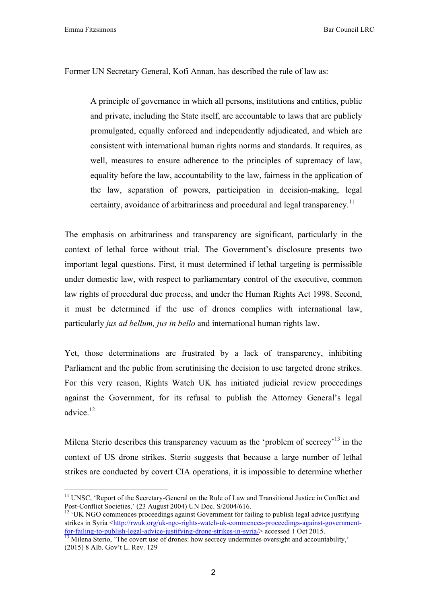Emma Fitzsimons Bar Council LRC

Former UN Secretary General, Kofi Annan, has described the rule of law as:

A principle of governance in which all persons, institutions and entities, public and private, including the State itself, are accountable to laws that are publicly promulgated, equally enforced and independently adjudicated, and which are consistent with international human rights norms and standards. It requires, as well, measures to ensure adherence to the principles of supremacy of law, equality before the law, accountability to the law, fairness in the application of the law, separation of powers, participation in decision-making, legal certainty, avoidance of arbitrariness and procedural and legal transparency.<sup>11</sup>

The emphasis on arbitrariness and transparency are significant, particularly in the context of lethal force without trial. The Government's disclosure presents two important legal questions. First, it must determined if lethal targeting is permissible under domestic law, with respect to parliamentary control of the executive, common law rights of procedural due process, and under the Human Rights Act 1998. Second, it must be determined if the use of drones complies with international law, particularly *jus ad bellum, jus in bello* and international human rights law.

Yet, those determinations are frustrated by a lack of transparency, inhibiting Parliament and the public from scrutinising the decision to use targeted drone strikes. For this very reason, Rights Watch UK has initiated judicial review proceedings against the Government, for its refusal to publish the Attorney General's legal advice. 12

Milena Sterio describes this transparency vacuum as the 'problem of secrecy'<sup>13</sup> in the context of US drone strikes. Sterio suggests that because a large number of lethal strikes are conducted by covert CIA operations, it is impossible to determine whether

<sup>&</sup>lt;sup>11</sup> UNSC, 'Report of the Secretary-General on the Rule of Law and Transitional Justice in Conflict and Post-Conflict Societies.'  $(23 \text{ August } 2004)$  UN Doc.  $S/2004/616$ .

<sup>&</sup>lt;sup>12</sup> 'UK NGO commences proceedings against Government for failing to publish legal advice justifying strikes in Syria <http://rwuk.org/uk-ngo-rights-watch-uk-commences-proceedings-against-governmentfor-failing-to-publish-legal-advice-justifying-drone-strikes-in-syria/> accessed 1 Oct 2015.<br><sup>13</sup> Milena Sterio, 'The covert use of drones: how secrecy undermines oversight and accountability,'

<sup>(2015) 8</sup> Alb. Gov't L. Rev. 129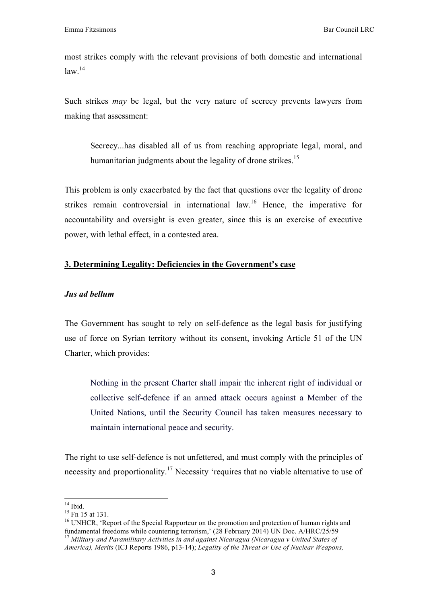most strikes comply with the relevant provisions of both domestic and international  $law.<sup>14</sup>$ 

Such strikes *may* be legal, but the very nature of secrecy prevents lawyers from making that assessment:

Secrecy...has disabled all of us from reaching appropriate legal, moral, and humanitarian judgments about the legality of drone strikes.<sup>15</sup>

This problem is only exacerbated by the fact that questions over the legality of drone strikes remain controversial in international law.<sup>16</sup> Hence, the imperative for accountability and oversight is even greater, since this is an exercise of executive power, with lethal effect, in a contested area.

### **3. Determining Legality: Deficiencies in the Government's case**

#### *Jus ad bellum*

The Government has sought to rely on self-defence as the legal basis for justifying use of force on Syrian territory without its consent, invoking Article 51 of the UN Charter, which provides:

Nothing in the present Charter shall impair the inherent right of individual or collective self-defence if an armed attack occurs against a Member of the United Nations, until the Security Council has taken measures necessary to maintain international peace and security.

The right to use self-defence is not unfettered, and must comply with the principles of necessity and proportionality.<sup>17</sup> Necessity 'requires that no viable alternative to use of

 $^{14}$  Ibid.<br> $^{15}$  Fn 15 at 131.

<sup>&</sup>lt;sup>16</sup> UNHCR, 'Report of the Special Rapporteur on the promotion and protection of human rights and fundamental freedoms while countering terrorism,' (28 February 2014) UN Doc. A/HRC/25/59 17 *Military and Paramilitary Activities in and against Nicaragua (Nicaragua v United States of America), Merits* (ICJ Reports 1986, p13-14); *Legality of the Threat or Use of Nuclear Weapons,*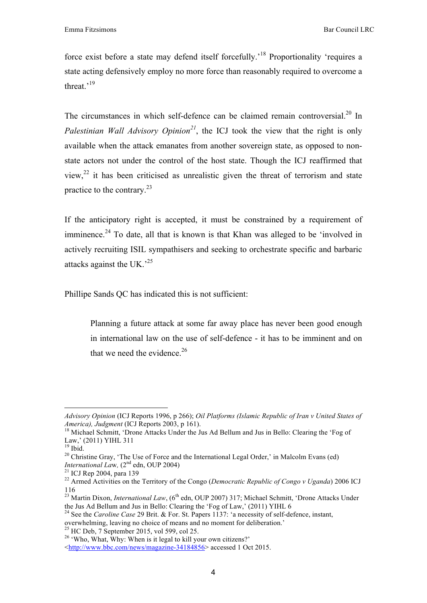force exist before a state may defend itself forcefully.<sup>18</sup> Proportionality 'requires a state acting defensively employ no more force than reasonably required to overcome a threat.'<sup>19</sup>

The circumstances in which self-defence can be claimed remain controversial.<sup>20</sup> In *Palestinian Wall Advisory Opinion<sup>21</sup>*, the ICJ took the view that the right is only available when the attack emanates from another sovereign state, as opposed to nonstate actors not under the control of the host state. Though the ICJ reaffirmed that view.<sup>22</sup> it has been criticised as unrealistic given the threat of terrorism and state practice to the contrary. $23$ 

If the anticipatory right is accepted, it must be constrained by a requirement of imminence.<sup>24</sup> To date, all that is known is that Khan was alleged to be 'involved in actively recruiting ISIL sympathisers and seeking to orchestrate specific and barbaric attacks against the UK $^{25}$ 

Phillipe Sands QC has indicated this is not sufficient:

Planning a future attack at some far away place has never been good enough in international law on the use of self-defence - it has to be imminent and on that we need the evidence. $26$ 

 

*Advisory Opinion* (ICJ Reports 1996, p 266); *Oil Platforms (Islamic Republic of Iran v United States of America), Judgment* (ICJ Reports 2003, p 161).<br><sup>18</sup> Michael Schmitt, 'Drone Attacks Under the Jus Ad Bellum and Jus in Bello: Clearing the 'Fog of

Law,' (2011) YIHL 311

 $19$  Ibid.

<sup>&</sup>lt;sup>20</sup> Christine Gray, 'The Use of Force and the International Legal Order,' in Malcolm Evans (ed) *International Law,* (2<sup>nd</sup> edn, OUP 2004)<br><sup>21</sup> ICJ Rep 2004, para 139

<sup>&</sup>lt;sup>22</sup> Armed Activities on the Territory of the Congo (*Democratic Republic of Congo v Uganda*) 2006 ICJ 116

<sup>&</sup>lt;sup>23</sup> Martin Dixon, *International Law*,  $(6^{th}$  edn, OUP 2007) 317; Michael Schmitt, 'Drone Attacks Under the Jus Ad Bellum and Jus in Bello: Clearing the 'Fog of Law.' (2011) YIHL 6

<sup>&</sup>lt;sup>24</sup> See the *Caroline Case* 29 Brit. & For. St. Papers 1137: 'a necessity of self-defence, instant, overwhelming, leaving no choice of means and no moment for deliberation.'

<sup>&</sup>lt;sup>25</sup> HC Deb, 7 September 2015, vol 599, col 25. <sup>26</sup> 'Who, What, Why: When is it legal to kill your own citizens?'

<sup>&</sup>lt;http://www.bbc.com/news/magazine-34184856> accessed 1 Oct 2015.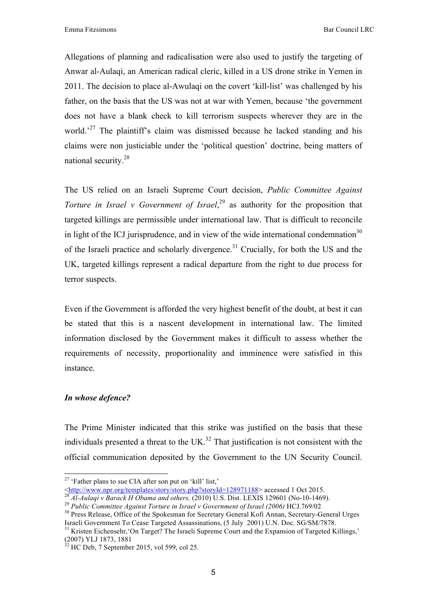Allegations of planning and radicalisation were also used to justify the targeting of Anwar al-Aulaqi, an American radical cleric, killed in a US drone strike in Yemen in 2011. The decision to place al-Awulaqi on the covert 'kill-list' was challenged by his father, on the basis that the US was not at war with Yemen, because 'the government does not have a blank check to kill terrorism suspects wherever they are in the world.<sup>27</sup> The plaintiff's claim was dismissed because he lacked standing and his claims were non justiciable under the 'political question' doctrine, being matters of national security.<sup>28</sup>

The US relied on an Israeli Supreme Court decision, *Public Committee Against Torture in Israel v Government of Israel*<sup>29</sup> as authority for the proposition that targeted killings are permissible under international law. That is difficult to reconcile in light of the ICJ jurisprudence, and in view of the wide international condemnation<sup>30</sup> of the Israeli practice and scholarly divergence.<sup>31</sup> Crucially, for both the US and the UK, targeted killings represent a radical departure from the right to due process for terror suspects.

Even if the Government is afforded the very highest benefit of the doubt, at best it can be stated that this is a nascent development in international law. The limited information disclosed by the Government makes it difficult to assess whether the requirements of necessity, proportionality and imminence were satisfied in this instance.

#### *In whose defence?*

The Prime Minister indicated that this strike was justified on the basis that these individuals presented a threat to the  $UK.^{32}$  That justification is not consistent with the official communication deposited by the Government to the UN Security Council.

<sup>&</sup>lt;sup>27</sup> 'Father plans to sue CIA after son put on 'kill' list,'<br>  $\langle \frac{\text{http://www.npr.org/templates/stor/y/story.php?storyId=128971188>} \text{accessed 1 Oct 2015.}}$ 

<sup>&</sup>lt;sup>28</sup> Al-Aulaqi v Barack H Obama and others, (2010) U.S. Dist. LEXIS 129601 (No-10-1469).<br><sup>29</sup> Public Committee Against Torture in Israel v Government of Israel (2006) HCJ.769/02<br><sup>30</sup> Press Release, Office of the Spokesman

<sup>&</sup>lt;sup>31</sup> Kristen Eichensehr, 'On Target? The Israeli Supreme Court and the Expansion of Targeted Killings,' (2007) YLJ 1873, 1881 32 HC Deb, 7 September 2015, vol 599, col 25.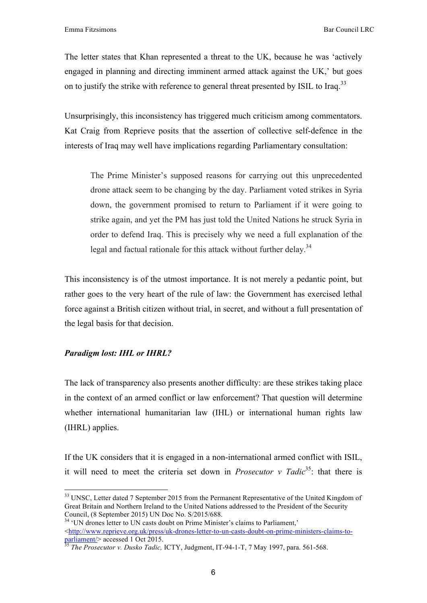The letter states that Khan represented a threat to the UK, because he was 'actively engaged in planning and directing imminent armed attack against the UK,' but goes on to justify the strike with reference to general threat presented by ISIL to Iraq.<sup>33</sup>

Unsurprisingly, this inconsistency has triggered much criticism among commentators. Kat Craig from Reprieve posits that the assertion of collective self-defence in the interests of Iraq may well have implications regarding Parliamentary consultation:

The Prime Minister's supposed reasons for carrying out this unprecedented drone attack seem to be changing by the day. Parliament voted strikes in Syria down, the government promised to return to Parliament if it were going to strike again, and yet the PM has just told the United Nations he struck Syria in order to defend Iraq. This is precisely why we need a full explanation of the legal and factual rationale for this attack without further delay.<sup>34</sup>

This inconsistency is of the utmost importance. It is not merely a pedantic point, but rather goes to the very heart of the rule of law: the Government has exercised lethal force against a British citizen without trial, in secret, and without a full presentation of the legal basis for that decision.

### *Paradigm lost: IHL or IHRL?*

The lack of transparency also presents another difficulty: are these strikes taking place in the context of an armed conflict or law enforcement? That question will determine whether international humanitarian law (IHL) or international human rights law (IHRL) applies.

If the UK considers that it is engaged in a non-international armed conflict with ISIL, it will need to meet the criteria set down in *Prosecutor v Tadic*<sup>35</sup>: that there is

<sup>&</sup>lt;sup>33</sup> UNSC, Letter dated 7 September 2015 from the Permanent Representative of the United Kingdom of Great Britain and Northern Ireland to the United Nations addressed to the President of the Security Council, (8 September 2015) UN Doc No. S/2015/688. <sup>34</sup> 'UN drones letter to UN casts doubt on Prime Minister's claims to Parliament,'

<sup>&</sup>lt;http://www.reprieve.org.uk/press/uk-drones-letter-to-un-casts-doubt-on-prime-ministers-claims-toparliament/> accessed 1 Oct 2015.<br><sup>35</sup> *The Prosecutor v. Dusko Tadic,* ICTY, Judgment, IT-94-1-T, 7 May 1997, para. 561-568.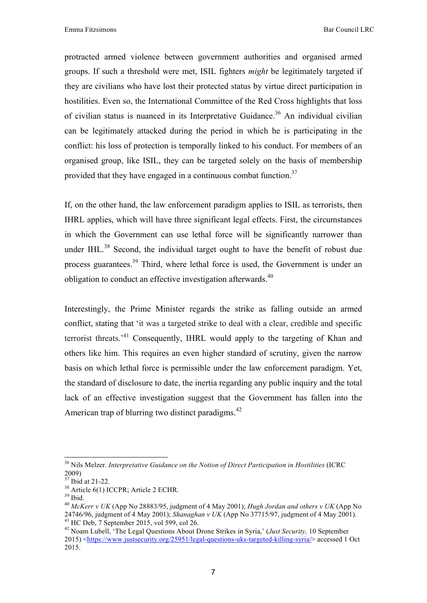protracted armed violence between government authorities and organised armed groups. If such a threshold were met, ISIL fighters *might* be legitimately targeted if they are civilians who have lost their protected status by virtue direct participation in hostilities. Even so, the International Committee of the Red Cross highlights that loss of civilian status is nuanced in its Interpretative Guidance.<sup>36</sup> An individual civilian can be legitimately attacked during the period in which he is participating in the conflict: his loss of protection is temporally linked to his conduct. For members of an organised group, like ISIL, they can be targeted solely on the basis of membership provided that they have engaged in a continuous combat function.<sup>37</sup>

If, on the other hand, the law enforcement paradigm applies to ISIL as terrorists, then IHRL applies, which will have three significant legal effects. First, the circumstances in which the Government can use lethal force will be significantly narrower than under IHL. $^{38}$  Second, the individual target ought to have the benefit of robust due process guarantees.39 Third, where lethal force is used, the Government is under an obligation to conduct an effective investigation afterwards.<sup>40</sup>

Interestingly, the Prime Minister regards the strike as falling outside an armed conflict, stating that 'it was a targeted strike to deal with a clear, credible and specific terrorist threats.'41 Consequently, IHRL would apply to the targeting of Khan and others like him. This requires an even higher standard of scrutiny, given the narrow basis on which lethal force is permissible under the law enforcement paradigm. Yet, the standard of disclosure to date, the inertia regarding any public inquiry and the total lack of an effective investigation suggest that the Government has fallen into the American trap of blurring two distinct paradigms.<sup>42</sup>

<sup>&</sup>lt;sup>36</sup> Nils Melzer. *Interpretative Guidance on the Notion of Direct Participation in Hostilities* (ICRC  $2009$ )<br><sup>37</sup> Ibid at 21-22.

<sup>&</sup>lt;sup>38</sup> Article 6(1) ICCPR; Article 2 ECHR.

 $39$  Ibid.

<sup>40</sup> *McKerr v UK* (App No 28883/95, judgment of 4 May 2001); *Hugh Jordan and others v UK* (App No 24746/96, judgment of 4 May 2001); *Shanaghan v UK* (App No 37715/97, judgment of 4 May 2001). 41 HC Deb, 7 September 2015, vol 599, col 26.

<sup>42</sup> Noam Lubell, 'The Legal Questions About Drone Strikes in Syria,' (*Just Security,* 10 September 2015) <https://www.justsecurity.org/25951/legal-questions-uks-targeted-killing-syria/> accessed 1 Oct 2015.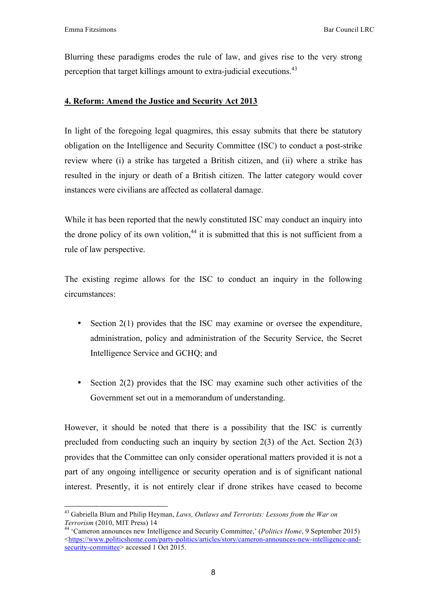Blurring these paradigms erodes the rule of law, and gives rise to the very strong perception that target killings amount to extra-judicial executions.<sup>43</sup>

#### **4. Reform: Amend the Justice and Security Act 2013**

In light of the foregoing legal quagmires, this essay submits that there be statutory obligation on the Intelligence and Security Committee (ISC) to conduct a post-strike review where (i) a strike has targeted a British citizen, and (ii) where a strike has resulted in the injury or death of a British citizen. The latter category would cover instances were civilians are affected as collateral damage.

While it has been reported that the newly constituted ISC may conduct an inquiry into the drone policy of its own volition,<sup>44</sup> it is submitted that this is not sufficient from a rule of law perspective.

The existing regime allows for the ISC to conduct an inquiry in the following circumstances:

- Section 2(1) provides that the ISC may examine or oversee the expenditure, administration, policy and administration of the Security Service, the Secret Intelligence Service and GCHQ; and
- Section 2(2) provides that the ISC may examine such other activities of the Government set out in a memorandum of understanding.

However, it should be noted that there is a possibility that the ISC is currently precluded from conducting such an inquiry by section 2(3) of the Act. Section 2(3) provides that the Committee can only consider operational matters provided it is not a part of any ongoing intelligence or security operation and is of significant national interest. Presently, it is not entirely clear if drone strikes have ceased to become

 43 Gabriella Blum and Philip Heyman, *Laws, Outlaws and Terrorists: Lessons from the War on* 

*Terrorism* (2010, MIT Press) 14<br><sup>44</sup> 'Cameron announces new Intelligence and Security Committee,' (*Politics Home*, 9 September 2015) <https://www.politicshome.com/party-politics/articles/story/cameron-announces-new-intelligence-andsecurity-committee> accessed 1 Oct 2015.